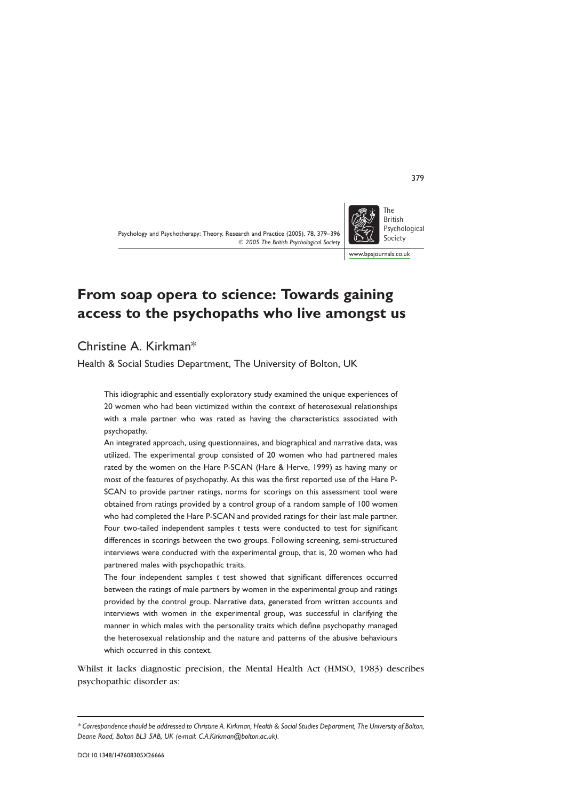# From soap opera to science: Towards gaining access to the psychopaths who live amongst us

Christine A. Kirkman\*

Health & Social Studies Department, The University of Bolton, UK

This idiographic and essentially exploratory study examined the unique experiences of 20 women who had been victimized within the context of heterosexual relationships with a male partner who was rated as having the characteristics associated with psychopathy.

An integrated approach, using questionnaires, and biographical and narrative data, was utilized. The experimental group consisted of 20 women who had partnered males rated by the women on the Hare P-SCAN (Hare & Herve, 1999) as having many or most of the features of psychopathy. As this was the first reported use of the Hare P-SCAN to provide partner ratings, norms for scorings on this assessment tool were obtained from ratings provided by a control group of a random sample of 100 women who had completed the Hare P-SCAN and provided ratings for their last male partner. Four two-tailed independent samples t tests were conducted to test for significant differences in scorings between the two groups. Following screening, semi-structured interviews were conducted with the experimental group, that is, 20 women who had partnered males with psychopathic traits.

The four independent samples t test showed that significant differences occurred between the ratings of male partners by women in the experimental group and ratings provided by the control group. Narrative data, generated from written accounts and interviews with women in the experimental group, was successful in clarifying the manner in which males with the personality traits which define psychopathy managed the heterosexual relationship and the nature and patterns of the abusive behaviours which occurred in this context.

Whilst it lacks diagnostic precision, the Mental Health Act (HMSO, 1983) describes psychopathic disorder as:



www.bpsjournals.co.uk

<sup>\*</sup> Correspondence should be addressed to Christine A. Kirkman, Health & Social Studies Department, The University of Bolton, Deane Road, Bolton BL3 5AB, UK (e-mail: C.A.Kirkman@bolton.ac.uk).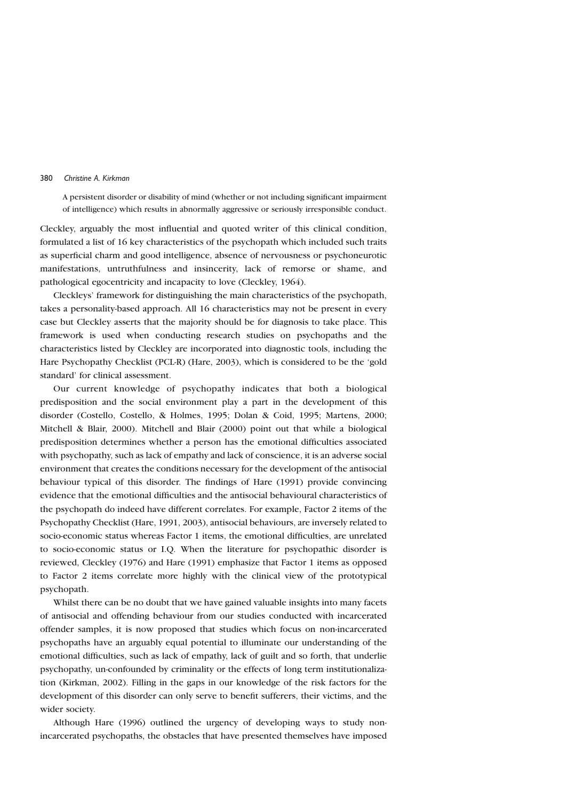A persistent disorder or disability of mind (whether or not including significant impairment of intelligence) which results in abnormally aggressive or seriously irresponsible conduct.

Cleckley, arguably the most influential and quoted writer of this clinical condition, formulated a list of 16 key characteristics of the psychopath which included such traits as superficial charm and good intelligence, absence of nervousness or psychoneurotic manifestations, untruthfulness and insincerity, lack of remorse or shame, and pathological egocentricity and incapacity to love (Cleckley, 1964).

Cleckleys' framework for distinguishing the main characteristics of the psychopath, takes a personality-based approach. All 16 characteristics may not be present in every case but Cleckley asserts that the majority should be for diagnosis to take place. This framework is used when conducting research studies on psychopaths and the characteristics listed by Cleckley are incorporated into diagnostic tools, including the Hare Psychopathy Checklist (PCL-R) (Hare, 2003), which is considered to be the 'gold standard' for clinical assessment.

Our current knowledge of psychopathy indicates that both a biological predisposition and the social environment play a part in the development of this disorder (Costello, Costello, & Holmes, 1995; Dolan & Coid, 1995; Martens, 2000; Mitchell & Blair, 2000). Mitchell and Blair (2000) point out that while a biological predisposition determines whether a person has the emotional difficulties associated with psychopathy, such as lack of empathy and lack of conscience, it is an adverse social environment that creates the conditions necessary for the development of the antisocial behaviour typical of this disorder. The findings of Hare (1991) provide convincing evidence that the emotional difficulties and the antisocial behavioural characteristics of the psychopath do indeed have different correlates. For example, Factor 2 items of the Psychopathy Checklist (Hare, 1991, 2003), antisocial behaviours, are inversely related to socio-economic status whereas Factor 1 items, the emotional difficulties, are unrelated to socio-economic status or I.Q. When the literature for psychopathic disorder is reviewed, Cleckley (1976) and Hare (1991) emphasize that Factor 1 items as opposed to Factor 2 items correlate more highly with the clinical view of the prototypical psychopath.

Whilst there can be no doubt that we have gained valuable insights into many facets of antisocial and offending behaviour from our studies conducted with incarcerated offender samples, it is now proposed that studies which focus on non-incarcerated psychopaths have an arguably equal potential to illuminate our understanding of the emotional difficulties, such as lack of empathy, lack of guilt and so forth, that underlie psychopathy, un-confounded by criminality or the effects of long term institutionalization (Kirkman, 2002). Filling in the gaps in our knowledge of the risk factors for the development of this disorder can only serve to benefit sufferers, their victims, and the wider society.

Although Hare (1996) outlined the urgency of developing ways to study nonincarcerated psychopaths, the obstacles that have presented themselves have imposed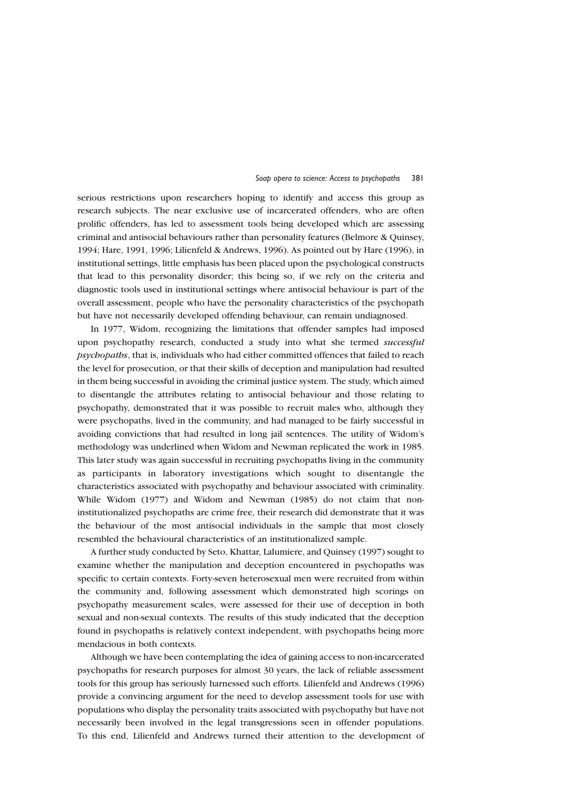serious restrictions upon researchers hoping to identify and access this group as research subjects. The near exclusive use of incarcerated offenders, who are often prolific offenders, has led to assessment tools being developed which are assessing criminal and antisocial behaviours rather than personality features (Belmore & Quinsey, 1994; Hare, 1991, 1996; Lilienfeld & Andrews, 1996). As pointed out by Hare (1996), in institutional settings, little emphasis has been placed upon the psychological constructs that lead to this personality disorder; this being so, if we rely on the criteria and diagnostic tools used in institutional settings where antisocial behaviour is part of the overall assessment, people who have the personality characteristics of the psychopath but have not necessarily developed offending behaviour, can remain undiagnosed.

In 1977, Widom, recognizing the limitations that offender samples had imposed upon psychopathy research, conducted a study into what she termed successful psychopaths, that is, individuals who had either committed offences that failed to reach the level for prosecution, or that their skills of deception and manipulation had resulted in them being successful in avoiding the criminal justice system. The study, which aimed to disentangle the attributes relating to antisocial behaviour and those relating to psychopathy, demonstrated that it was possible to recruit males who, although they were psychopaths, lived in the community, and had managed to be fairly successful in avoiding convictions that had resulted in long jail sentences. The utility of Widom's methodology was underlined when Widom and Newman replicated the work in 1985. This later study was again successful in recruiting psychopaths living in the community as participants in laboratory investigations which sought to disentangle the characteristics associated with psychopathy and behaviour associated with criminality. While Widom (1977) and Widom and Newman (1985) do not claim that noninstitutionalized psychopaths are crime free, their research did demonstrate that it was the behaviour of the most antisocial individuals in the sample that most closely resembled the behavioural characteristics of an institutionalized sample.

A further study conducted by Seto, Khattar, Lalumiere, and Quinsey (1997) sought to examine whether the manipulation and deception encountered in psychopaths was specific to certain contexts. Forty-seven heterosexual men were recruited from within the community and, following assessment which demonstrated high scorings on psychopathy measurement scales, were assessed for their use of deception in both sexual and non-sexual contexts. The results of this study indicated that the deception found in psychopaths is relatively context independent, with psychopaths being more mendacious in both contexts.

Although we have been contemplating the idea of gaining access to non-incarcerated psychopaths for research purposes for almost 30 years, the lack of reliable assessment tools for this group has seriously harnessed such efforts. Lilienfeld and Andrews (1996) provide a convincing argument for the need to develop assessment tools for use with populations who display the personality traits associated with psychopathy but have not necessarily been involved in the legal transgressions seen in offender populations. To this end, Lilienfeld and Andrews turned their attention to the development of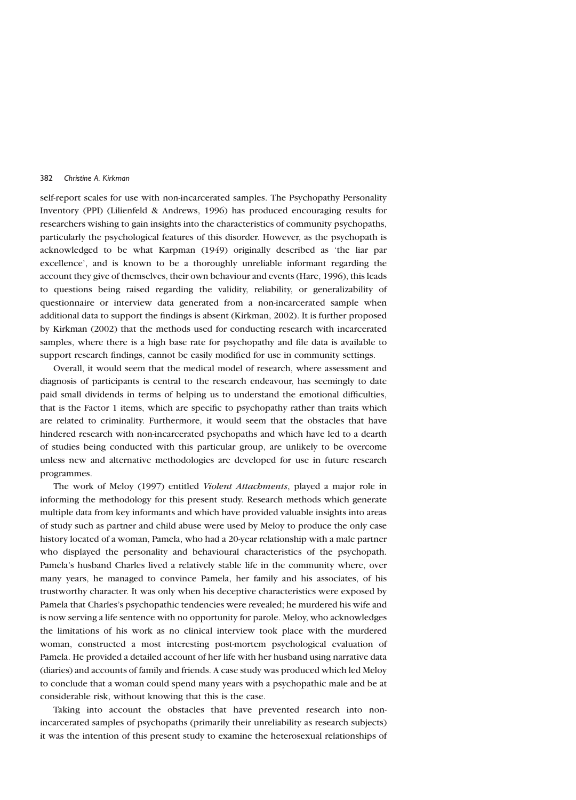self-report scales for use with non-incarcerated samples. The Psychopathy Personality Inventory (PPI) (Lilienfeld & Andrews, 1996) has produced encouraging results for researchers wishing to gain insights into the characteristics of community psychopaths, particularly the psychological features of this disorder. However, as the psychopath is acknowledged to be what Karpman (1949) originally described as 'the liar par excellence', and is known to be a thoroughly unreliable informant regarding the account they give of themselves, their own behaviour and events (Hare, 1996), this leads to questions being raised regarding the validity, reliability, or generalizability of questionnaire or interview data generated from a non-incarcerated sample when additional data to support the findings is absent (Kirkman, 2002). It is further proposed by Kirkman (2002) that the methods used for conducting research with incarcerated samples, where there is a high base rate for psychopathy and file data is available to support research findings, cannot be easily modified for use in community settings.

Overall, it would seem that the medical model of research, where assessment and diagnosis of participants is central to the research endeavour, has seemingly to date paid small dividends in terms of helping us to understand the emotional difficulties, that is the Factor 1 items, which are specific to psychopathy rather than traits which are related to criminality. Furthermore, it would seem that the obstacles that have hindered research with non-incarcerated psychopaths and which have led to a dearth of studies being conducted with this particular group, are unlikely to be overcome unless new and alternative methodologies are developed for use in future research programmes.

The work of Meloy (1997) entitled Violent Attachments, played a major role in informing the methodology for this present study. Research methods which generate multiple data from key informants and which have provided valuable insights into areas of study such as partner and child abuse were used by Meloy to produce the only case history located of a woman, Pamela, who had a 20-year relationship with a male partner who displayed the personality and behavioural characteristics of the psychopath. Pamela's husband Charles lived a relatively stable life in the community where, over many years, he managed to convince Pamela, her family and his associates, of his trustworthy character. It was only when his deceptive characteristics were exposed by Pamela that Charles's psychopathic tendencies were revealed; he murdered his wife and is now serving a life sentence with no opportunity for parole. Meloy, who acknowledges the limitations of his work as no clinical interview took place with the murdered woman, constructed a most interesting post-mortem psychological evaluation of Pamela. He provided a detailed account of her life with her husband using narrative data (diaries) and accounts of family and friends. A case study was produced which led Meloy to conclude that a woman could spend many years with a psychopathic male and be at considerable risk, without knowing that this is the case.

Taking into account the obstacles that have prevented research into nonincarcerated samples of psychopaths (primarily their unreliability as research subjects) it was the intention of this present study to examine the heterosexual relationships of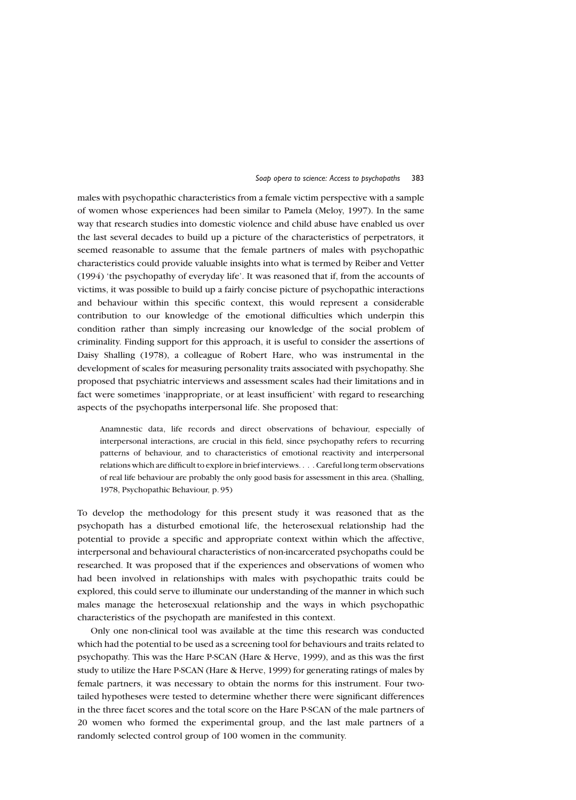males with psychopathic characteristics from a female victim perspective with a sample of women whose experiences had been similar to Pamela (Meloy, 1997). In the same way that research studies into domestic violence and child abuse have enabled us over the last several decades to build up a picture of the characteristics of perpetrators, it seemed reasonable to assume that the female partners of males with psychopathic characteristics could provide valuable insights into what is termed by Reiber and Vetter (1994) 'the psychopathy of everyday life'. It was reasoned that if, from the accounts of victims, it was possible to build up a fairly concise picture of psychopathic interactions and behaviour within this specific context, this would represent a considerable contribution to our knowledge of the emotional difficulties which underpin this condition rather than simply increasing our knowledge of the social problem of criminality. Finding support for this approach, it is useful to consider the assertions of Daisy Shalling (1978), a colleague of Robert Hare, who was instrumental in the development of scales for measuring personality traits associated with psychopathy. She proposed that psychiatric interviews and assessment scales had their limitations and in fact were sometimes 'inappropriate, or at least insufficient' with regard to researching aspects of the psychopaths interpersonal life. She proposed that:

Anamnestic data, life records and direct observations of behaviour, especially of interpersonal interactions, are crucial in this field, since psychopathy refers to recurring patterns of behaviour, and to characteristics of emotional reactivity and interpersonal relations which are difficult to explore in brief interviews. . . . Careful long term observations of real life behaviour are probably the only good basis for assessment in this area. (Shalling, 1978, Psychopathic Behaviour, p. 95)

To develop the methodology for this present study it was reasoned that as the psychopath has a disturbed emotional life, the heterosexual relationship had the potential to provide a specific and appropriate context within which the affective, interpersonal and behavioural characteristics of non-incarcerated psychopaths could be researched. It was proposed that if the experiences and observations of women who had been involved in relationships with males with psychopathic traits could be explored, this could serve to illuminate our understanding of the manner in which such males manage the heterosexual relationship and the ways in which psychopathic characteristics of the psychopath are manifested in this context.

Only one non-clinical tool was available at the time this research was conducted which had the potential to be used as a screening tool for behaviours and traits related to psychopathy. This was the Hare P-SCAN (Hare & Herve, 1999), and as this was the first study to utilize the Hare P-SCAN (Hare & Herve, 1999) for generating ratings of males by female partners, it was necessary to obtain the norms for this instrument. Four twotailed hypotheses were tested to determine whether there were significant differences in the three facet scores and the total score on the Hare P-SCAN of the male partners of 20 women who formed the experimental group, and the last male partners of a randomly selected control group of 100 women in the community.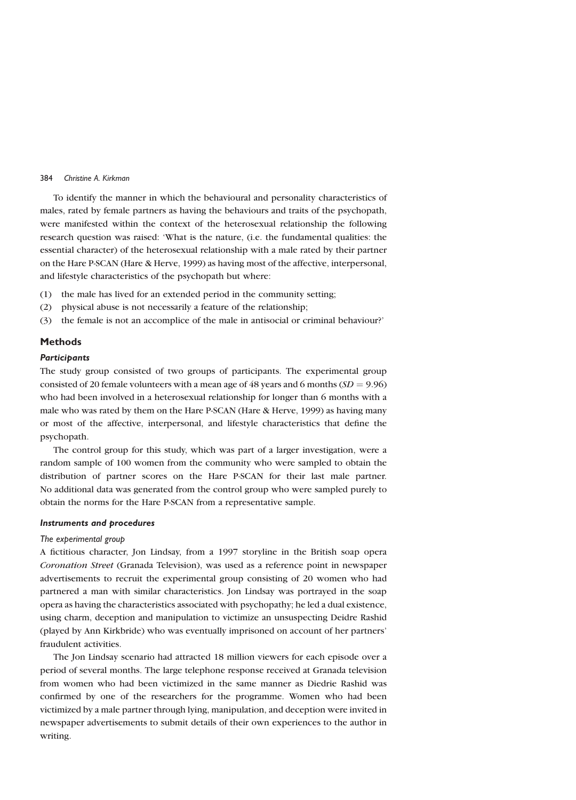To identify the manner in which the behavioural and personality characteristics of males, rated by female partners as having the behaviours and traits of the psychopath, were manifested within the context of the heterosexual relationship the following research question was raised: 'What is the nature, (i.e. the fundamental qualities: the essential character) of the heterosexual relationship with a male rated by their partner on the Hare P-SCAN (Hare & Herve, 1999) as having most of the affective, interpersonal, and lifestyle characteristics of the psychopath but where:

- the male has lived for an extended period in the community setting;  $(1)$
- physical abuse is not necessarily a feature of the relationship;  $(2)$
- $(3)$ the female is not an accomplice of the male in antisocial or criminal behaviour?

# **Methods**

#### **Participants**

The study group consisted of two groups of participants. The experimental group consisted of 20 female volunteers with a mean age of 48 years and 6 months  $(SD = 9.96)$ who had been involved in a heterosexual relationship for longer than 6 months with a male who was rated by them on the Hare P-SCAN (Hare & Herve, 1999) as having many or most of the affective, interpersonal, and lifestyle characteristics that define the psychopath.

The control group for this study, which was part of a larger investigation, were a random sample of 100 women from the community who were sampled to obtain the distribution of partner scores on the Hare P-SCAN for their last male partner. No additional data was generated from the control group who were sampled purely to obtain the norms for the Hare P-SCAN from a representative sample.

## **Instruments and procedures**

#### The experimental group

A fictitious character, Jon Lindsay, from a 1997 storyline in the British soap opera Coronation Street (Granada Television), was used as a reference point in newspaper advertisements to recruit the experimental group consisting of 20 women who had partnered a man with similar characteristics. Jon Lindsay was portrayed in the soap opera as having the characteristics associated with psychopathy; he led a dual existence, using charm, deception and manipulation to victimize an unsuspecting Deidre Rashid (played by Ann Kirkbride) who was eventually imprisoned on account of her partners' fraudulent activities.

The Jon Lindsay scenario had attracted 18 million viewers for each episode over a period of several months. The large telephone response received at Granada television from women who had been victimized in the same manner as Diedrie Rashid was confirmed by one of the researchers for the programme. Women who had been victimized by a male partner through lying, manipulation, and deception were invited in newspaper advertisements to submit details of their own experiences to the author in writing.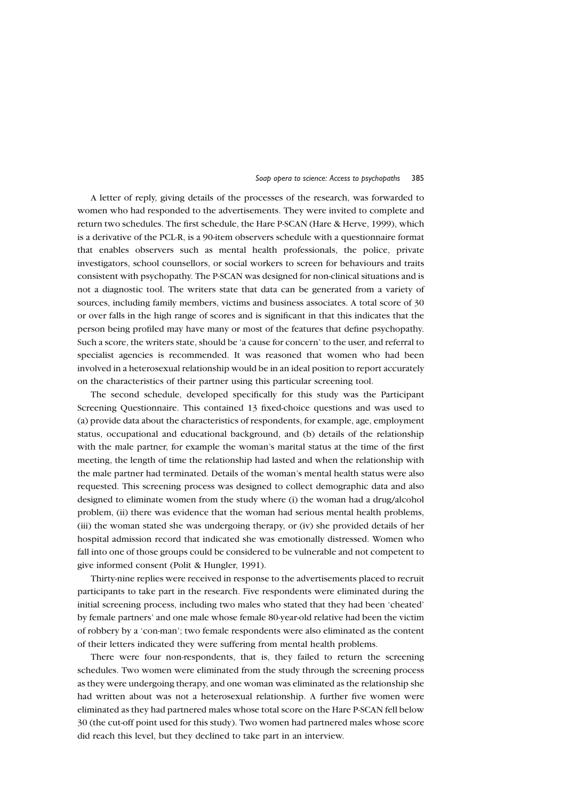A letter of reply, giving details of the processes of the research, was forwarded to women who had responded to the advertisements. They were invited to complete and return two schedules. The first schedule, the Hare P-SCAN (Hare & Herve, 1999), which is a derivative of the PCL-R, is a 90-item observers schedule with a questionnaire format that enables observers such as mental health professionals, the police, private investigators, school counsellors, or social workers to screen for behaviours and traits consistent with psychopathy. The P-SCAN was designed for non-clinical situations and is not a diagnostic tool. The writers state that data can be generated from a variety of sources, including family members, victims and business associates. A total score of 30 or over falls in the high range of scores and is significant in that this indicates that the person being profiled may have many or most of the features that define psychopathy. Such a score, the writers state, should be 'a cause for concern' to the user, and referral to specialist agencies is recommended. It was reasoned that women who had been involved in a heterosexual relationship would be in an ideal position to report accurately on the characteristics of their partner using this particular screening tool.

The second schedule, developed specifically for this study was the Participant Screening Questionnaire. This contained 13 fixed-choice questions and was used to (a) provide data about the characteristics of respondents, for example, age, employment status, occupational and educational background, and (b) details of the relationship with the male partner, for example the woman's marital status at the time of the first meeting, the length of time the relationship had lasted and when the relationship with the male partner had terminated. Details of the woman's mental health status were also requested. This screening process was designed to collect demographic data and also designed to eliminate women from the study where (i) the woman had a drug/alcohol problem, (ii) there was evidence that the woman had serious mental health problems, (iii) the woman stated she was undergoing therapy, or (iv) she provided details of her hospital admission record that indicated she was emotionally distressed. Women who fall into one of those groups could be considered to be vulnerable and not competent to give informed consent (Polit & Hungler, 1991).

Thirty-nine replies were received in response to the advertisements placed to recruit participants to take part in the research. Five respondents were eliminated during the initial screening process, including two males who stated that they had been 'cheated' by female partners' and one male whose female 80-year-old relative had been the victim of robbery by a 'con-man'; two female respondents were also eliminated as the content of their letters indicated they were suffering from mental health problems.

There were four non-respondents, that is, they failed to return the screening schedules. Two women were eliminated from the study through the screening process as they were undergoing therapy, and one woman was eliminated as the relationship she had written about was not a heterosexual relationship. A further five women were eliminated as they had partnered males whose total score on the Hare P-SCAN fell below 30 (the cut-off point used for this study). Two women had partnered males whose score did reach this level, but they declined to take part in an interview.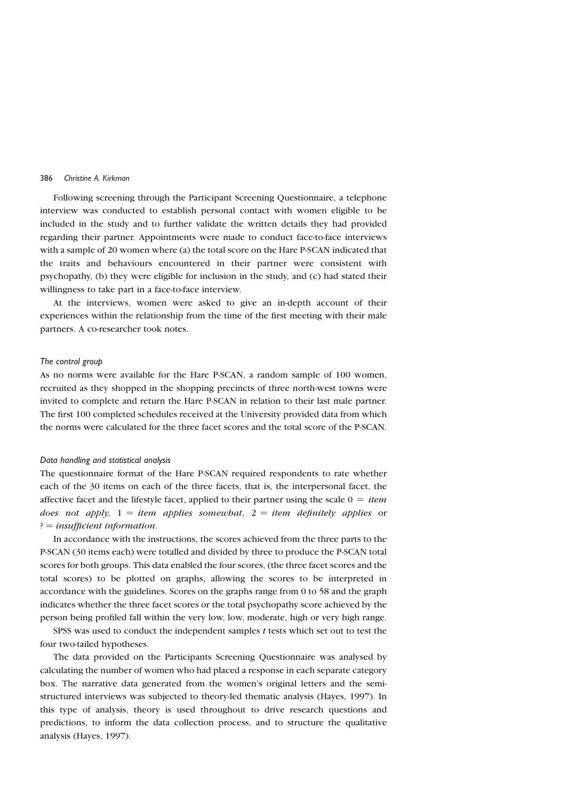Following screening through the Participant Screening Questionnaire, a telephone interview was conducted to establish personal contact with women eligible to be included in the study and to further validate the written details they had provided regarding their partner. Appointments were made to conduct face-to-face interviews with a sample of 20 women where (a) the total score on the Hare P-SCAN indicated that the traits and behaviours encountered in their partner were consistent with psychopathy, (b) they were eligible for inclusion in the study, and (c) had stated their willingness to take part in a face-to-face interview.

At the interviews, women were asked to give an in-depth account of their experiences within the relationship from the time of the first meeting with their male partners. A co-researcher took notes.

#### The control group

As no norms were available for the Hare P-SCAN, a random sample of 100 women, recruited as they shopped in the shopping precincts of three north-west towns were invited to complete and return the Hare P-SCAN in relation to their last male partner. The first 100 completed schedules received at the University provided data from which the norms were calculated for the three facet scores and the total score of the P-SCAN.

#### Data handling and statistical analysis

The questionnaire format of the Hare P-SCAN required respondents to rate whether each of the 30 items on each of the three facets, that is, the interpersonal facet, the affective facet and the lifestyle facet, applied to their partner using the scale  $0 = item$ does not apply,  $1 = item$  applies somewhat,  $2 = item$  definitely applies or  $? = insufficient information.$ 

In accordance with the instructions, the scores achieved from the three parts to the P-SCAN (30 items each) were totalled and divided by three to produce the P-SCAN total scores for both groups. This data enabled the four scores, (the three facet scores and the total scores) to be plotted on graphs, allowing the scores to be interpreted in accordance with the guidelines. Scores on the graphs range from 0 to 58 and the graph indicates whether the three facet scores or the total psychopathy score achieved by the person being profiled fall within the very low, low, moderate, high or very high range.

SPSS was used to conduct the independent samples  $t$  tests which set out to test the four two-tailed hypotheses.

The data provided on the Participants Screening Questionnaire was analysed by calculating the number of women who had placed a response in each separate category box. The narrative data generated from the women's original letters and the semistructured interviews was subjected to theory-led thematic analysis (Hayes, 1997). In this type of analysis, theory is used throughout to drive research questions and predictions, to inform the data collection process, and to structure the qualitative analysis (Hayes, 1997).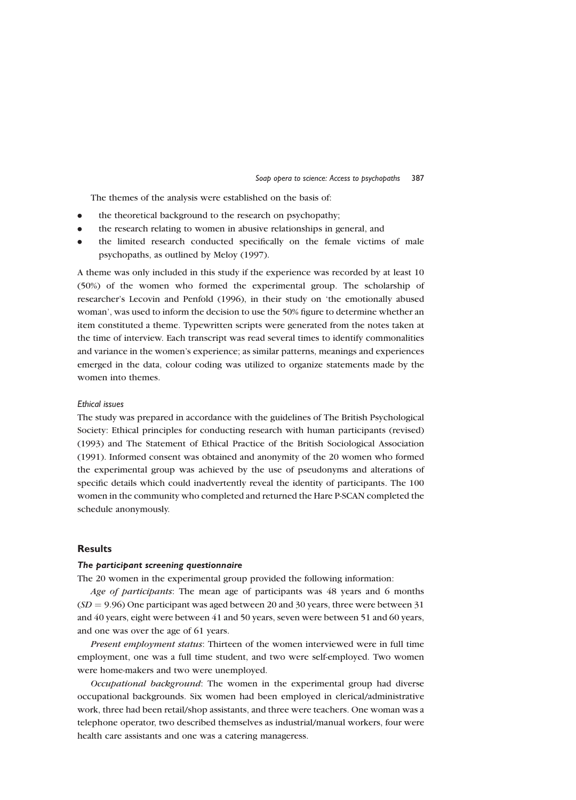The themes of the analysis were established on the basis of:

- the theoretical background to the research on psychopathy;  $\bullet$
- the research relating to women in abusive relationships in general, and  $\bullet$
- the limited research conducted specifically on the female victims of male  $\bullet$ psychopaths, as outlined by Meloy (1997).

A theme was only included in this study if the experience was recorded by at least 10 (50%) of the women who formed the experimental group. The scholarship of researcher's Lecovin and Penfold (1996), in their study on 'the emotionally abused woman', was used to inform the decision to use the 50% figure to determine whether an item constituted a theme. Typewritten scripts were generated from the notes taken at the time of interview. Each transcript was read several times to identify commonalities and variance in the women's experience; as similar patterns, meanings and experiences emerged in the data, colour coding was utilized to organize statements made by the women into themes.

#### **Ethical issues**

The study was prepared in accordance with the guidelines of The British Psychological Society: Ethical principles for conducting research with human participants (revised) (1993) and The Statement of Ethical Practice of the British Sociological Association (1991). Informed consent was obtained and anonymity of the 20 women who formed the experimental group was achieved by the use of pseudonyms and alterations of specific details which could inadvertently reveal the identity of participants. The 100 women in the community who completed and returned the Hare P-SCAN completed the schedule anonymously.

# **Results**

#### The participant screening questionnaire

The 20 women in the experimental group provided the following information:

Age of participants: The mean age of participants was 48 years and 6 months  $(SD = 9.96)$  One participant was aged between 20 and 30 years, three were between 31 and 40 years, eight were between 41 and 50 years, seven were between 51 and 60 years, and one was over the age of 61 years.

Present employment status: Thirteen of the women interviewed were in full time employment, one was a full time student, and two were self-employed. Two women were home-makers and two were unemployed.

Occupational background: The women in the experimental group had diverse occupational backgrounds. Six women had been employed in clerical/administrative work, three had been retail/shop assistants, and three were teachers. One woman was a telephone operator, two described themselves as industrial/manual workers, four were health care assistants and one was a catering manageress.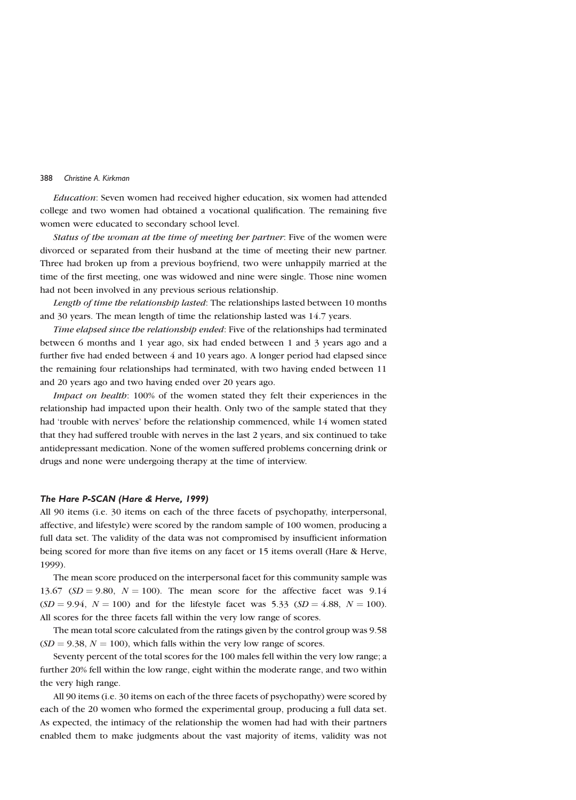*Education*: Seven women had received higher education, six women had attended college and two women had obtained a vocational qualification. The remaining five women were educated to secondary school level.

Status of the woman at the time of meeting her partner: Five of the women were divorced or separated from their husband at the time of meeting their new partner. Three had broken up from a previous boyfriend, two were unhappily married at the time of the first meeting, one was widowed and nine were single. Those nine women had not been involved in any previous serious relationship.

Length of time the relationship lasted: The relationships lasted between 10 months and 30 years. The mean length of time the relationship lasted was 14.7 years.

Time elapsed since the relationship ended: Five of the relationships had terminated between 6 months and 1 year ago, six had ended between 1 and 3 years ago and a further five had ended between 4 and 10 years ago. A longer period had elapsed since the remaining four relationships had terminated, with two having ended between 11 and 20 years ago and two having ended over 20 years ago.

Impact on health: 100% of the women stated they felt their experiences in the relationship had impacted upon their health. Only two of the sample stated that they had 'trouble with nerves' before the relationship commenced, while 14 women stated that they had suffered trouble with nerves in the last 2 years, and six continued to take antidepressant medication. None of the women suffered problems concerning drink or drugs and none were undergoing therapy at the time of interview.

#### The Hare P-SCAN (Hare & Herve, 1999)

All 90 items (i.e. 30 items on each of the three facets of psychopathy, interpersonal, affective, and lifestyle) were scored by the random sample of 100 women, producing a full data set. The validity of the data was not compromised by insufficient information being scored for more than five items on any facet or 15 items overall (Hare & Herve, 1999).

The mean score produced on the interpersonal facet for this community sample was 13.67 ( $SD = 9.80$ ,  $N = 100$ ). The mean score for the affective facet was 9.14  $(SD = 9.94, N = 100)$  and for the lifestyle facet was 5.33  $(SD = 4.88, N = 100)$ . All scores for the three facets fall within the very low range of scores.

The mean total score calculated from the ratings given by the control group was 9.58  $(SD = 9.38, N = 100)$ , which falls within the very low range of scores.

Seventy percent of the total scores for the 100 males fell within the very low range; a further 20% fell within the low range, eight within the moderate range, and two within the very high range.

All 90 items (i.e. 30 items on each of the three facets of psychopathy) were scored by each of the 20 women who formed the experimental group, producing a full data set. As expected, the intimacy of the relationship the women had had with their partners enabled them to make judgments about the vast majority of items, validity was not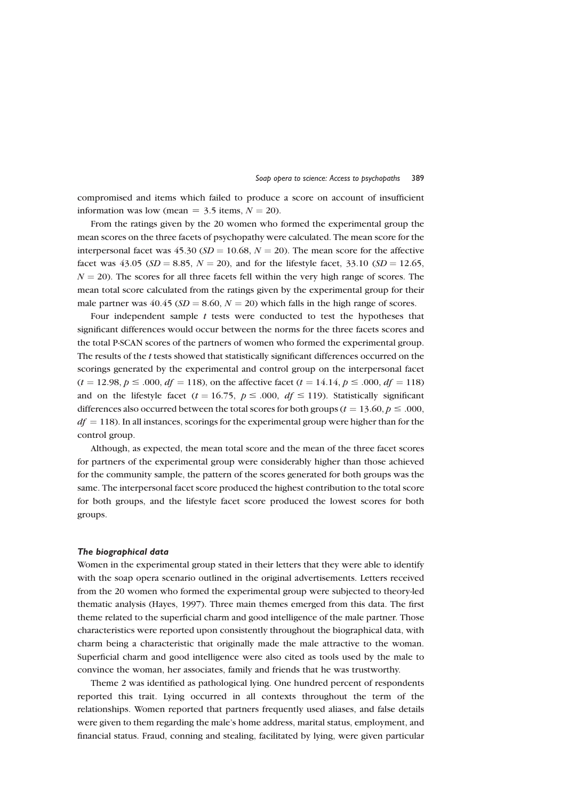compromised and items which failed to produce a score on account of insufficient information was low (mean =  $3.5$  items,  $N = 20$ ).

From the ratings given by the 20 women who formed the experimental group the mean scores on the three facets of psychopathy were calculated. The mean score for the interpersonal facet was 45.30 ( $SD = 10.68$ ,  $N = 20$ ). The mean score for the affective facet was 43.05 (SD = 8.85, N = 20), and for the lifestyle facet, 33.10 (SD = 12.65,  $N = 20$ ). The scores for all three facets fell within the very high range of scores. The mean total score calculated from the ratings given by the experimental group for their male partner was 40.45 ( $SD = 8.60$ ,  $N = 20$ ) which falls in the high range of scores.

Four independent sample  $t$  tests were conducted to test the hypotheses that significant differences would occur between the norms for the three facets scores and the total P-SCAN scores of the partners of women who formed the experimental group. The results of the t tests showed that statistically significant differences occurred on the scorings generated by the experimental and control group on the interpersonal facet  $(t = 12.98, p \le 0.00, df = 118)$ , on the affective facet  $(t = 14.14, p \le 0.00, df = 118)$ and on the lifestyle facet ( $t = 16.75$ ,  $p \le 0.00$ ,  $df \le 119$ ). Statistically significant differences also occurred between the total scores for both groups ( $t = 13.60, p \le 0.00$ )  $df = 118$ ). In all instances, scorings for the experimental group were higher than for the control group.

Although, as expected, the mean total score and the mean of the three facet scores for partners of the experimental group were considerably higher than those achieved for the community sample, the pattern of the scores generated for both groups was the same. The interpersonal facet score produced the highest contribution to the total score for both groups, and the lifestyle facet score produced the lowest scores for both groups.

## The biographical data

Women in the experimental group stated in their letters that they were able to identify with the soap opera scenario outlined in the original advertisements. Letters received from the 20 women who formed the experimental group were subjected to theory-led thematic analysis (Hayes, 1997). Three main themes emerged from this data. The first theme related to the superficial charm and good intelligence of the male partner. Those characteristics were reported upon consistently throughout the biographical data, with charm being a characteristic that originally made the male attractive to the woman. Superficial charm and good intelligence were also cited as tools used by the male to convince the woman, her associates, family and friends that he was trustworthy.

Theme 2 was identified as pathological lying. One hundred percent of respondents reported this trait. Lying occurred in all contexts throughout the term of the relationships. Women reported that partners frequently used aliases, and false details were given to them regarding the male's home address, marital status, employment, and financial status. Fraud, conning and stealing, facilitated by lying, were given particular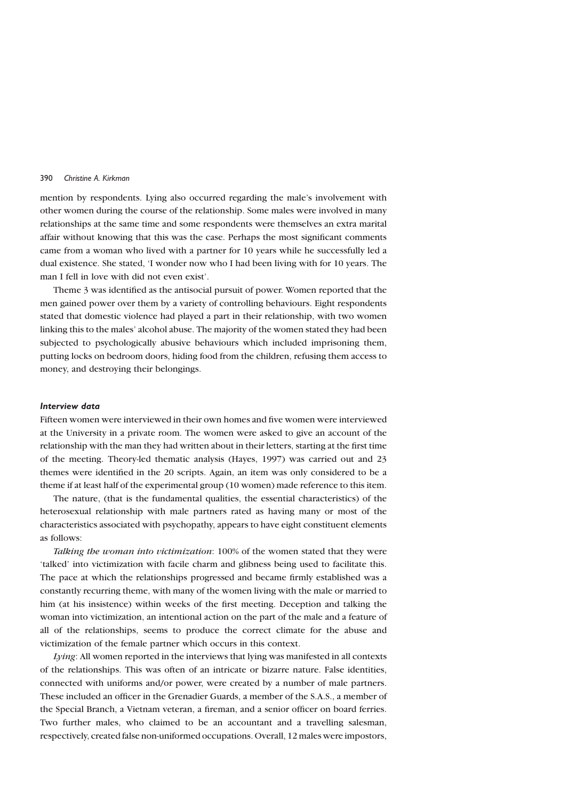mention by respondents. Lying also occurred regarding the male's involvement with other women during the course of the relationship. Some males were involved in many relationships at the same time and some respondents were themselves an extra marital affair without knowing that this was the case. Perhaps the most significant comments came from a woman who lived with a partner for 10 years while he successfully led a dual existence. She stated, 'I wonder now who I had been living with for 10 years. The man I fell in love with did not even exist'.

Theme 3 was identified as the antisocial pursuit of power. Women reported that the men gained power over them by a variety of controlling behaviours. Eight respondents stated that domestic violence had played a part in their relationship, with two women linking this to the males' alcohol abuse. The majority of the women stated they had been subjected to psychologically abusive behaviours which included imprisoning them, putting locks on bedroom doors, hiding food from the children, refusing them access to money, and destroying their belongings.

#### Interview data

Fifteen women were interviewed in their own homes and five women were interviewed at the University in a private room. The women were asked to give an account of the relationship with the man they had written about in their letters, starting at the first time of the meeting. Theory-led thematic analysis (Hayes, 1997) was carried out and 23 themes were identified in the 20 scripts. Again, an item was only considered to be a theme if at least half of the experimental group (10 women) made reference to this item.

The nature, (that is the fundamental qualities, the essential characteristics) of the heterosexual relationship with male partners rated as having many or most of the characteristics associated with psychopathy, appears to have eight constituent elements as follows:

Talking the woman into victimization: 100% of the women stated that they were 'talked' into victimization with facile charm and glibness being used to facilitate this. The pace at which the relationships progressed and became firmly established was a constantly recurring theme, with many of the women living with the male or married to him (at his insistence) within weeks of the first meeting. Deception and talking the woman into victimization, an intentional action on the part of the male and a feature of all of the relationships, seems to produce the correct climate for the abuse and victimization of the female partner which occurs in this context.

Lying: All women reported in the interviews that lying was manifested in all contexts of the relationships. This was often of an intricate or bizarre nature. False identities, connected with uniforms and/or power, were created by a number of male partners. These included an officer in the Grenadier Guards, a member of the S.A.S., a member of the Special Branch, a Vietnam veteran, a fireman, and a senior officer on board ferries. Two further males, who claimed to be an accountant and a travelling salesman, respectively, created false non-uniformed occupations. Overall, 12 males were impostors,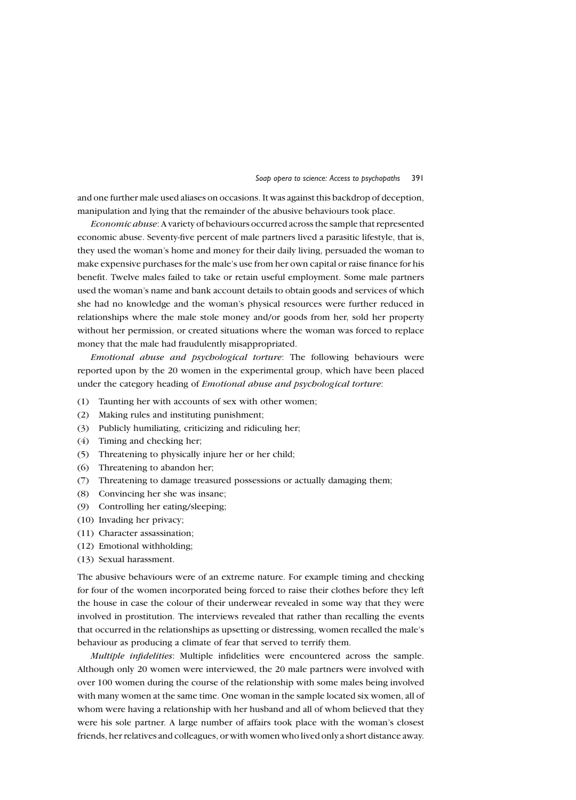and one further male used aliases on occasions. It was against this backdrop of deception, manipulation and lying that the remainder of the abusive behaviours took place.

*Economic abuse:* A variety of behaviours occurred across the sample that represented economic abuse. Seventy-five percent of male partners lived a parasitic lifestyle, that is, they used the woman's home and money for their daily living, persuaded the woman to make expensive purchases for the male's use from her own capital or raise finance for his benefit. Twelve males failed to take or retain useful employment. Some male partners used the woman's name and bank account details to obtain goods and services of which she had no knowledge and the woman's physical resources were further reduced in relationships where the male stole money and/or goods from her, sold her property without her permission, or created situations where the woman was forced to replace money that the male had fraudulently misappropriated.

Emotional abuse and psychological torture: The following behaviours were reported upon by the 20 women in the experimental group, which have been placed under the category heading of *Emotional abuse and psychological torture*:

- Taunting her with accounts of sex with other women;  $(1)$
- $(2)$ Making rules and instituting punishment;
- Publicly humiliating, criticizing and ridiculing her;  $(3)$
- Timing and checking her;  $(4)$
- $(5)$ Threatening to physically injure her or her child;
- $(6)$ Threatening to abandon her;
- Threatening to damage treasured possessions or actually damaging them;  $(7)$
- (8) Convincing her she was insane;
- $(9)$ Controlling her eating/sleeping;
- (10) Invading her privacy;
- (11) Character assassination;
- (12) Emotional withholding;
- (13) Sexual harassment.

The abusive behaviours were of an extreme nature. For example timing and checking for four of the women incorporated being forced to raise their clothes before they left the house in case the colour of their underwear revealed in some way that they were involved in prostitution. The interviews revealed that rather than recalling the events that occurred in the relationships as upsetting or distressing, women recalled the male's behaviour as producing a climate of fear that served to terrify them.

Multiple infidelities: Multiple infidelities were encountered across the sample. Although only 20 women were interviewed, the 20 male partners were involved with over 100 women during the course of the relationship with some males being involved with many women at the same time. One woman in the sample located six women, all of whom were having a relationship with her husband and all of whom believed that they were his sole partner. A large number of affairs took place with the woman's closest friends, her relatives and colleagues, or with women who lived only a short distance away.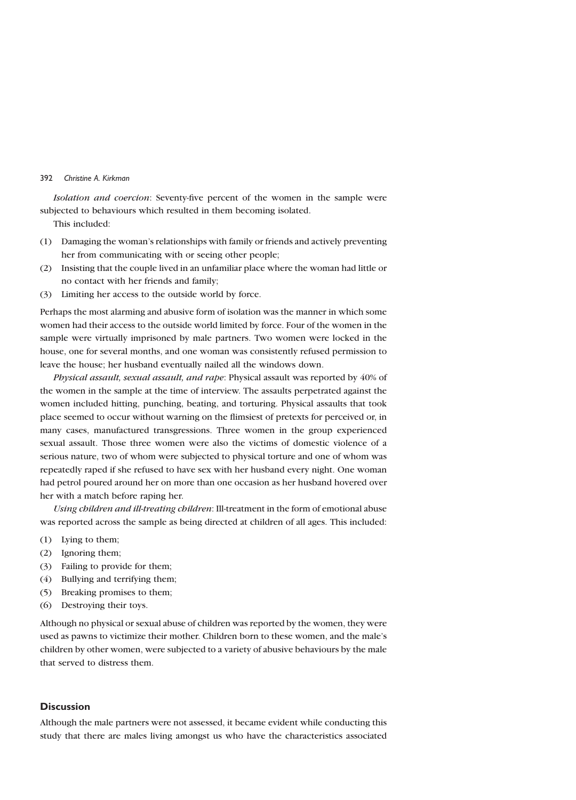Isolation and coercion: Seventy-five percent of the women in the sample were subjected to behaviours which resulted in them becoming isolated.

This included:

- Damaging the woman's relationships with family or friends and actively preventing  $(1)$ her from communicating with or seeing other people;
- Insisting that the couple lived in an unfamiliar place where the woman had little or  $(2)$ no contact with her friends and family;
- Limiting her access to the outside world by force.  $(3)$

Perhaps the most alarming and abusive form of isolation was the manner in which some women had their access to the outside world limited by force. Four of the women in the sample were virtually imprisoned by male partners. Two women were locked in the house, one for several months, and one woman was consistently refused permission to leave the house; her husband eventually nailed all the windows down.

Physical assault, sexual assault, and rape: Physical assault was reported by 40% of the women in the sample at the time of interview. The assaults perpetrated against the women included hitting, punching, beating, and torturing. Physical assaults that took place seemed to occur without warning on the flimsiest of pretexts for perceived or, in many cases, manufactured transgressions. Three women in the group experienced sexual assault. Those three women were also the victims of domestic violence of a serious nature, two of whom were subjected to physical torture and one of whom was repeatedly raped if she refused to have sex with her husband every night. One woman had petrol poured around her on more than one occasion as her husband hovered over her with a match before raping her.

Using children and ill-treating children: Ill-treatment in the form of emotional abuse was reported across the sample as being directed at children of all ages. This included:

- Lying to them;  $(1)$
- $(2)$ Ignoring them:
- Failing to provide for them;  $(3)$
- Bullying and terrifying them;  $(4)$
- $(5)$ Breaking promises to them;
- $(6)$ Destroying their toys.

Although no physical or sexual abuse of children was reported by the women, they were used as pawns to victimize their mother. Children born to these women, and the male's children by other women, were subjected to a variety of abusive behaviours by the male that served to distress them

# **Discussion**

Although the male partners were not assessed, it became evident while conducting this study that there are males living amongst us who have the characteristics associated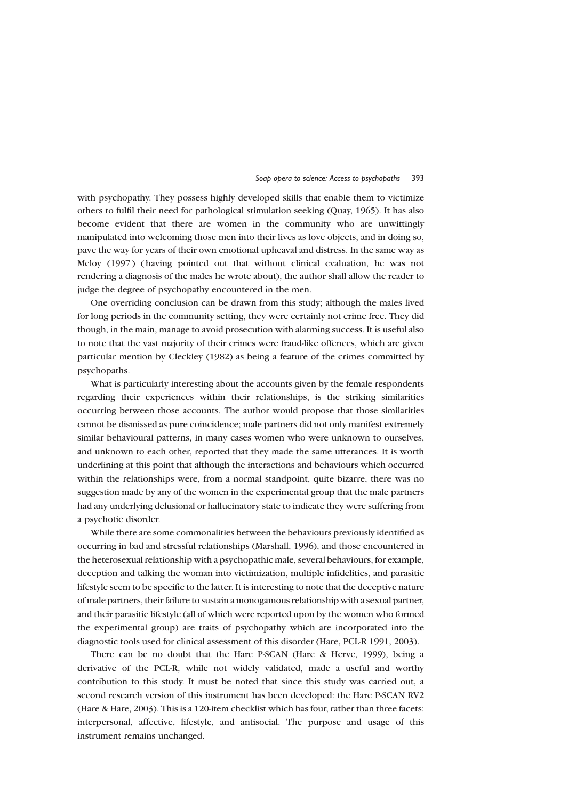with psychopathy. They possess highly developed skills that enable them to victimize others to fulfil their need for pathological stimulation seeking (Quay, 1965). It has also become evident that there are women in the community who are unwittingly manipulated into welcoming those men into their lives as love objects, and in doing so, pave the way for years of their own emotional upheaval and distress. In the same way as Meloy (1997) (having pointed out that without clinical evaluation, he was not rendering a diagnosis of the males he wrote about), the author shall allow the reader to judge the degree of psychopathy encountered in the men.

One overriding conclusion can be drawn from this study; although the males lived for long periods in the community setting, they were certainly not crime free. They did though, in the main, manage to avoid prosecution with alarming success. It is useful also to note that the vast majority of their crimes were fraud-like offences, which are given particular mention by Cleckley (1982) as being a feature of the crimes committed by psychopaths.

What is particularly interesting about the accounts given by the female respondents regarding their experiences within their relationships, is the striking similarities occurring between those accounts. The author would propose that those similarities cannot be dismissed as pure coincidence; male partners did not only manifest extremely similar behavioural patterns, in many cases women who were unknown to ourselves, and unknown to each other, reported that they made the same utterances. It is worth underlining at this point that although the interactions and behaviours which occurred within the relationships were, from a normal standpoint, quite bizarre, there was no suggestion made by any of the women in the experimental group that the male partners had any underlying delusional or hallucinatory state to indicate they were suffering from a psychotic disorder.

While there are some commonalities between the behaviours previously identified as occurring in bad and stressful relationships (Marshall, 1996), and those encountered in the heterosexual relationship with a psychopathic male, several behaviours, for example, deception and talking the woman into victimization, multiple infidelities, and parasitic lifestyle seem to be specific to the latter. It is interesting to note that the deceptive nature of male partners, their failure to sustain a monogamous relationship with a sexual partner, and their parasitic lifestyle (all of which were reported upon by the women who formed the experimental group) are traits of psychopathy which are incorporated into the diagnostic tools used for clinical assessment of this disorder (Hare, PCL-R 1991, 2003).

There can be no doubt that the Hare P-SCAN (Hare & Herve, 1999), being a derivative of the PCL-R, while not widely validated, made a useful and worthy contribution to this study. It must be noted that since this study was carried out, a second research version of this instrument has been developed: the Hare P-SCAN RV2 (Hare & Hare, 2003). This is a 120-item checklist which has four, rather than three facets: interpersonal, affective, lifestyle, and antisocial. The purpose and usage of this instrument remains unchanged.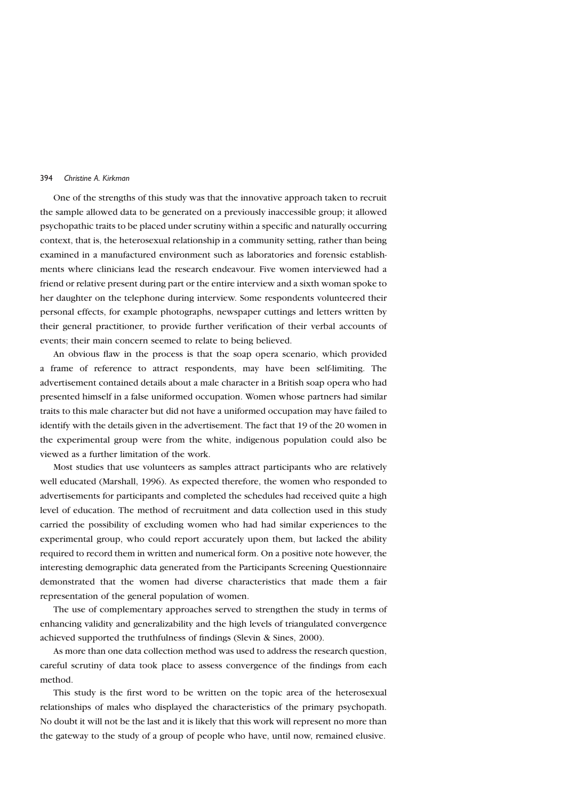#### 394 Christine A Kirkman

One of the strengths of this study was that the innovative approach taken to recruit the sample allowed data to be generated on a previously inaccessible group; it allowed psychopathic traits to be placed under scrutiny within a specific and naturally occurring context, that is, the heterosexual relationship in a community setting, rather than being examined in a manufactured environment such as laboratories and forensic establishments where clinicians lead the research endeavour. Five women interviewed had a friend or relative present during part or the entire interview and a sixth woman spoke to her daughter on the telephone during interview. Some respondents volunteered their personal effects, for example photographs, newspaper cuttings and letters written by their general practitioner, to provide further verification of their verbal accounts of events; their main concern seemed to relate to being believed.

An obvious flaw in the process is that the soap opera scenario, which provided a frame of reference to attract respondents, may have been self-limiting. The advertisement contained details about a male character in a British soap opera who had presented himself in a false uniformed occupation. Women whose partners had similar traits to this male character but did not have a uniformed occupation may have failed to identify with the details given in the advertisement. The fact that 19 of the 20 women in the experimental group were from the white, indigenous population could also be viewed as a further limitation of the work.

Most studies that use volunteers as samples attract participants who are relatively well educated (Marshall, 1996). As expected therefore, the women who responded to advertisements for participants and completed the schedules had received quite a high level of education. The method of recruitment and data collection used in this study carried the possibility of excluding women who had had similar experiences to the experimental group, who could report accurately upon them, but lacked the ability required to record them in written and numerical form. On a positive note however, the interesting demographic data generated from the Participants Screening Questionnaire demonstrated that the women had diverse characteristics that made them a fair representation of the general population of women.

The use of complementary approaches served to strengthen the study in terms of enhancing validity and generalizability and the high levels of triangulated convergence achieved supported the truthfulness of findings (Slevin & Sines, 2000).

As more than one data collection method was used to address the research question, careful scrutiny of data took place to assess convergence of the findings from each method.

This study is the first word to be written on the topic area of the heterosexual relationships of males who displayed the characteristics of the primary psychopath. No doubt it will not be the last and it is likely that this work will represent no more than the gateway to the study of a group of people who have, until now, remained elusive.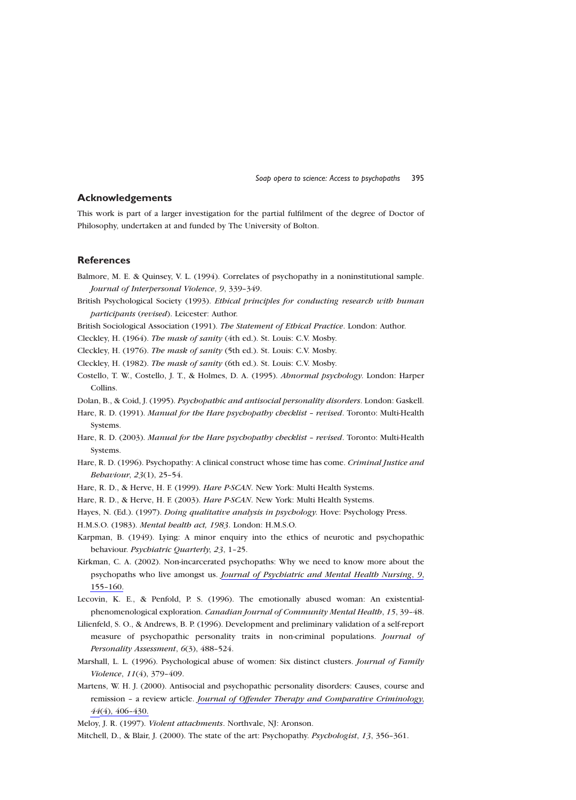## **Acknowledgements**

This work is part of a larger investigation for the partial fulfilment of the degree of Doctor of Philosophy, undertaken at and funded by The University of Bolton.

# **References**

- Balmore, M. E. & Quinsey, V. L. (1994). Correlates of psychopathy in a noninstitutional sample. Journal of Interpersonal Violence, 9, 339-349.
- British Psychological Society (1993). Ethical principles for conducting research with human participants (revised). Leicester: Author.
- British Sociological Association (1991). The Statement of Ethical Practice. London: Author.
- Cleckley, H. (1964). The mask of sanity (4th ed.). St. Louis: C.V. Mosby.
- Cleckley, H. (1976). The mask of sanity (5th ed.). St. Louis: C.V. Mosby.

Cleckley, H. (1982). The mask of sanity (6th ed.). St. Louis: C.V. Mosby.

Costello, T. W., Costello, J. T., & Holmes, D. A. (1995). Abnormal psychology. London: Harper Collins.

Dolan, B., & Coid, J. (1995). Psychopathic and antisocial personality disorders. London: Gaskell.

- Hare, R. D. (1991). Manual for the Hare psychopathy checklist revised. Toronto: Multi-Health Systems.
- Hare, R. D. (2003). Manual for the Hare psychopathy checklist revised. Toronto: Multi-Health Systems.
- Hare, R. D. (1996). Psychopathy: A clinical construct whose time has come. Criminal Justice and Behaviour, 23(1), 25-54.
- Hare, R. D., & Herve, H. F. (1999). Hare P-SCAN. New York: Multi Health Systems.
- Hare, R. D., & Herve, H. F. (2003). Hare P-SCAN. New York: Multi Health Systems.
- Hayes, N. (Ed.). (1997). Doing qualitative analysis in psychology. Hove: Psychology Press.
- H.M.S.O. (1983). Mental health act, 1983. London: H.M.S.O.
- Karpman, B. (1949). Lying: A minor enquiry into the ethics of neurotic and psychopathic behaviour. Psychiatric Quarterly, 23, 1-25.
- Kirkman, C. A. (2002). Non-incarcerated psychopaths: Why we need to know more about the psychopaths who live amongst us. Journal of Psychiatric and Mental Health Nursing, 9, 155-160.
- Lecovin, K. E., & Penfold, P. S. (1996). The emotionally abused woman: An existentialphenomenological exploration. Canadian Journal of Community Mental Health, 15, 39-48.
- Lilienfeld, S. O., & Andrews, B. P. (1996). Development and preliminary validation of a self-report measure of psychopathic personality traits in non-criminal populations. Journal of Personality Assessment, 6(3), 488-524.
- Marshall, L. L. (1996). Psychological abuse of women: Six distinct clusters. Journal of Family Violence, 11(4), 379-409.
- Martens, W. H. J. (2000). Antisocial and psychopathic personality disorders: Causes, course and remission - a review article. Journal of Offender Therapy and Comparative Criminology,  $44(4)$ ,  $406-430$ .

Meloy, J. R. (1997). Violent attachments. Northvale, NJ: Aronson.

Mitchell, D., & Blair, J. (2000). The state of the art: Psychopathy. Psychologist, 13, 356-361.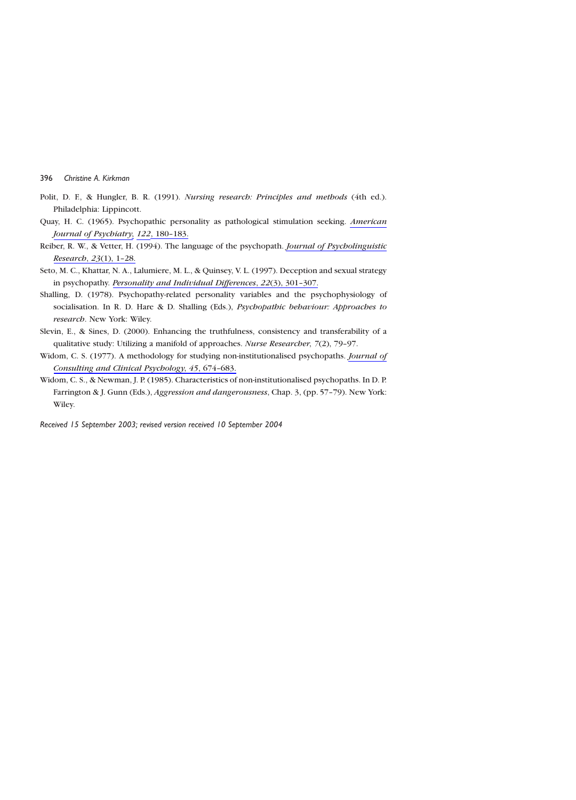- Polit, D. F., & Hungler, B. R. (1991). Nursing research: Principles and methods (4th ed.). Philadelphia: Lippincott.
- Quay, H. C. (1965). Psychopathic personality as pathological stimulation seeking. American Journal of Psychiatry, 122, 180-183.
- Reiber, R. W., & Vetter, H. (1994). The language of the psychopath. *Journal of Psycholinguistic* Research, 23(1), 1-28.
- Seto, M. C., Khattar, N. A., Lalumiere, M. L., & Quinsey, V. L. (1997). Deception and sexual strategy in psychopathy. Personality and Individual Differences, 22(3), 301-307.
- Shalling, D. (1978). Psychopathy-related personality variables and the psychophysiology of socialisation. In R. D. Hare & D. Shalling (Eds.), Psychopathic behaviour: Approaches to research. New York: Wiley.
- Slevin, E., & Sines, D. (2000). Enhancing the truthfulness, consistency and transferability of a qualitative study: Utilizing a manifold of approaches. Nurse Researcher, 7(2), 79-97.
- Widom, C. S. (1977). A methodology for studying non-institutionalised psychopaths. *Journal of* Consulting and Clinical Psychology, 45, 674-683.
- Widom, C. S., & Newman, J. P. (1985). Characteristics of non-institutionalised psychopaths. In D. P. Farrington & J. Gunn (Eds.), Aggression and dangerousness, Chap. 3, (pp. 57-79). New York: Wiley.

Received 15 September 2003; revised version received 10 September 2004